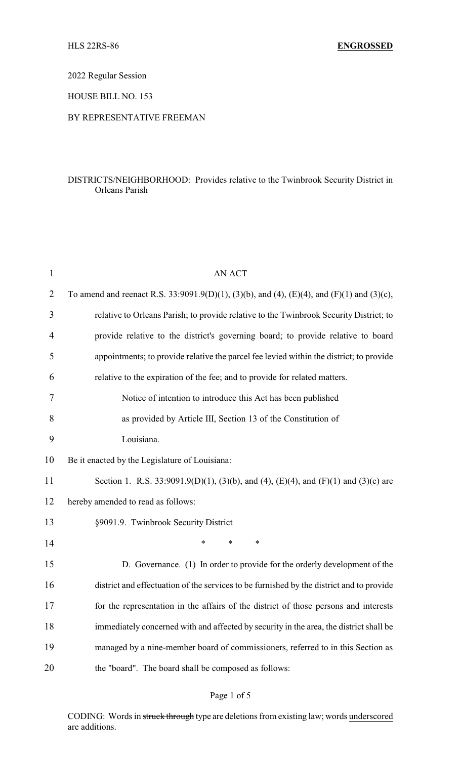2022 Regular Session

HOUSE BILL NO. 153

### BY REPRESENTATIVE FREEMAN

## DISTRICTS/NEIGHBORHOOD: Provides relative to the Twinbrook Security District in Orleans Parish

| $\mathbf{1}$ | <b>AN ACT</b>                                                                              |  |
|--------------|--------------------------------------------------------------------------------------------|--|
| 2            | To amend and reenact R.S. 33:9091.9(D)(1), (3)(b), and (4), (E)(4), and (F)(1) and (3)(c), |  |
| 3            | relative to Orleans Parish; to provide relative to the Twinbrook Security District; to     |  |
| 4            | provide relative to the district's governing board; to provide relative to board           |  |
| 5            | appointments; to provide relative the parcel fee levied within the district; to provide    |  |
| 6            | relative to the expiration of the fee; and to provide for related matters.                 |  |
| 7            | Notice of intention to introduce this Act has been published                               |  |
| 8            | as provided by Article III, Section 13 of the Constitution of                              |  |
| 9            | Louisiana.                                                                                 |  |
| 10           | Be it enacted by the Legislature of Louisiana:                                             |  |
| 11           | Section 1. R.S. 33:9091.9(D)(1), (3)(b), and (4), (E)(4), and (F)(1) and (3)(c) are        |  |
| 12           | hereby amended to read as follows:                                                         |  |
| 13           | §9091.9. Twinbrook Security District                                                       |  |
| 14           | $\ast$<br>$\ast$<br>*                                                                      |  |
| 15           | D. Governance. (1) In order to provide for the orderly development of the                  |  |
| 16           | district and effectuation of the services to be furnished by the district and to provide   |  |
| 17           | for the representation in the affairs of the district of those persons and interests       |  |
| 18           | immediately concerned with and affected by security in the area, the district shall be     |  |
| 19           | managed by a nine-member board of commissioners, referred to in this Section as            |  |
| 20           | the "board". The board shall be composed as follows:                                       |  |

# Page 1 of 5

CODING: Words in struck through type are deletions from existing law; words underscored are additions.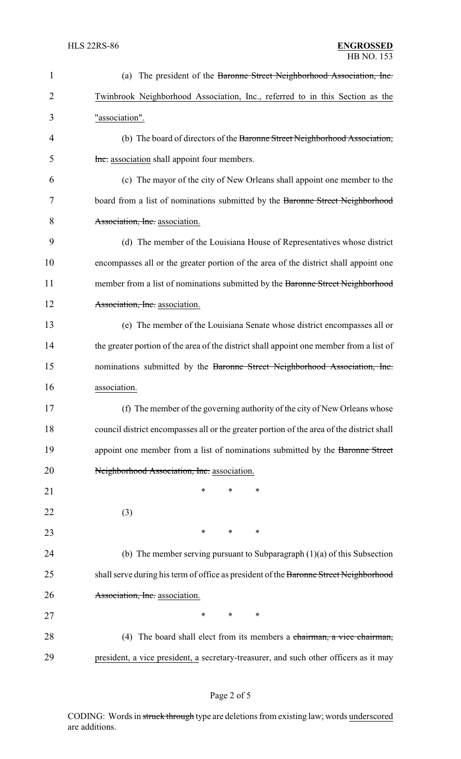| $\mathbf{1}$   | (a) The president of the Baronne Street Neighborhood Association, Inc.                    |  |  |  |
|----------------|-------------------------------------------------------------------------------------------|--|--|--|
| $\overline{2}$ | Twinbrook Neighborhood Association, Inc., referred to in this Section as the              |  |  |  |
| 3              | "association".                                                                            |  |  |  |
| 4              | (b) The board of directors of the Baronne Street Neighborhood Association,                |  |  |  |
| 5              | Inc. association shall appoint four members.                                              |  |  |  |
| 6              | (c) The mayor of the city of New Orleans shall appoint one member to the                  |  |  |  |
| 7              | board from a list of nominations submitted by the Baronne Street Neighborhood             |  |  |  |
| 8              | Association, Inc. association.                                                            |  |  |  |
| 9              | (d) The member of the Louisiana House of Representatives whose district                   |  |  |  |
| 10             | encompasses all or the greater portion of the area of the district shall appoint one      |  |  |  |
| 11             | member from a list of nominations submitted by the Baronne Street Neighborhood            |  |  |  |
| 12             | Association, Inc. association.                                                            |  |  |  |
| 13             | (e) The member of the Louisiana Senate whose district encompasses all or                  |  |  |  |
| 14             | the greater portion of the area of the district shall appoint one member from a list of   |  |  |  |
| 15             | nominations submitted by the Baronne Street Neighborhood Association, Inc.                |  |  |  |
| 16             | association.                                                                              |  |  |  |
| 17             | (f) The member of the governing authority of the city of New Orleans whose                |  |  |  |
| 18             | council district encompasses all or the greater portion of the area of the district shall |  |  |  |
| 19             | appoint one member from a list of nominations submitted by the Baronne Street             |  |  |  |
| 20             | Neighborhood Association, Inc. association.                                               |  |  |  |
| 21             | *<br>*<br>∗                                                                               |  |  |  |
| 22             | (3)                                                                                       |  |  |  |
| 23             | ∗<br>∗<br>∗                                                                               |  |  |  |
| 24             | (b) The member serving pursuant to Subparagraph $(1)(a)$ of this Subsection               |  |  |  |
| 25             | shall serve during his term of office as president of the Baronne Street Neighborhood     |  |  |  |
| 26             | Association, Inc. association.                                                            |  |  |  |
| 27             | ∗<br>$\ast$<br>∗                                                                          |  |  |  |
| 28             | (4) The board shall elect from its members a chairman, a vice chairman,                   |  |  |  |
| 29             | president, a vice president, a secretary-treasurer, and such other officers as it may     |  |  |  |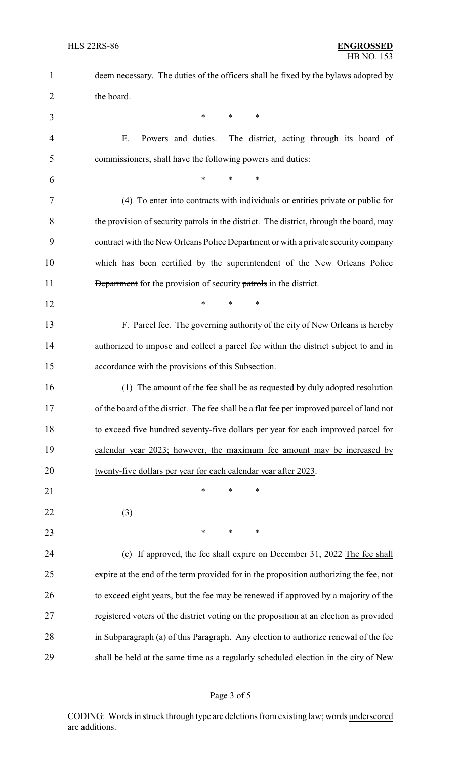| $\mathbf{1}$   | deem necessary. The duties of the officers shall be fixed by the bylaws adopted by        |  |  |  |
|----------------|-------------------------------------------------------------------------------------------|--|--|--|
| $\overline{2}$ | the board.                                                                                |  |  |  |
| 3              | $\ast$<br>*<br>*                                                                          |  |  |  |
| $\overline{4}$ | Ε.<br>Powers and duties.<br>The district, acting through its board of                     |  |  |  |
| 5              | commissioners, shall have the following powers and duties:                                |  |  |  |
| 6              | $\ast$<br>*                                                                               |  |  |  |
| 7              | (4) To enter into contracts with individuals or entities private or public for            |  |  |  |
| 8              | the provision of security patrols in the district. The district, through the board, may   |  |  |  |
| 9              | contract with the New Orleans Police Department or with a private security company        |  |  |  |
| 10             | which has been certified by the superintendent of the New Orleans Police                  |  |  |  |
| 11             | <b>Department</b> for the provision of security patrols in the district.                  |  |  |  |
| 12             | $\ast$<br>*<br>∗                                                                          |  |  |  |
| 13             | F. Parcel fee. The governing authority of the city of New Orleans is hereby               |  |  |  |
| 14             | authorized to impose and collect a parcel fee within the district subject to and in       |  |  |  |
| 15             | accordance with the provisions of this Subsection.                                        |  |  |  |
| 16             | (1) The amount of the fee shall be as requested by duly adopted resolution                |  |  |  |
| 17             | of the board of the district. The fee shall be a flat fee per improved parcel of land not |  |  |  |
| 18             | to exceed five hundred seventy-five dollars per year for each improved parcel for         |  |  |  |
| 19             | calendar year 2023; however, the maximum fee amount may be increased by                   |  |  |  |
| 20             | twenty-five dollars per year for each calendar year after 2023.                           |  |  |  |
| 21             | $\ast$<br>*<br>*                                                                          |  |  |  |
| 22             | (3)                                                                                       |  |  |  |
| 23             | ∗<br>∗<br>∗                                                                               |  |  |  |
| 24             | (c) If approved, the fee shall expire on December 31, 2022 The fee shall                  |  |  |  |
| 25             | expire at the end of the term provided for in the proposition authorizing the fee, not    |  |  |  |
| 26             | to exceed eight years, but the fee may be renewed if approved by a majority of the        |  |  |  |
| 27             | registered voters of the district voting on the proposition at an election as provided    |  |  |  |
| 28             | in Subparagraph (a) of this Paragraph. Any election to authorize renewal of the fee       |  |  |  |
| 29             | shall be held at the same time as a regularly scheduled election in the city of New       |  |  |  |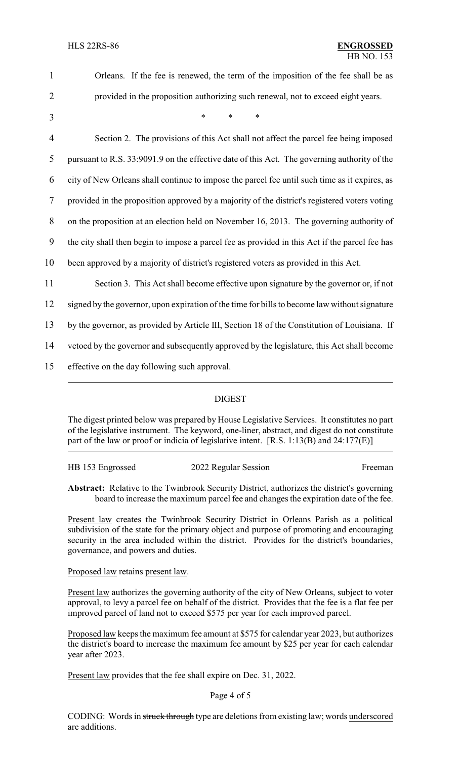| 1              | Orleans. If the fee is renewed, the term of the imposition of the fee shall be as              |
|----------------|------------------------------------------------------------------------------------------------|
| $\overline{2}$ | provided in the proposition authorizing such renewal, not to exceed eight years.               |
| 3              | $\ast$<br>*<br>*                                                                               |
| $\overline{4}$ | Section 2. The provisions of this Act shall not affect the parcel fee being imposed            |
| 5              | pursuant to R.S. 33:9091.9 on the effective date of this Act. The governing authority of the   |
| 6              | city of New Orleans shall continue to impose the parcel fee until such time as it expires, as  |
| $\overline{7}$ | provided in the proposition approved by a majority of the district's registered voters voting  |
| $8\,$          | on the proposition at an election held on November 16, 2013. The governing authority of        |
| 9              | the city shall then begin to impose a parcel fee as provided in this Act if the parcel fee has |
| 10             | been approved by a majority of district's registered voters as provided in this Act.           |
| 11             | Section 3. This Act shall become effective upon signature by the governor or, if not           |
| 12             | signed by the governor, upon expiration of the time for bills to become law without signature  |
| 13             | by the governor, as provided by Article III, Section 18 of the Constitution of Louisiana. If   |
| 14             | vetoed by the governor and subsequently approved by the legislature, this Act shall become     |
| 15             | effective on the day following such approval.                                                  |
|                |                                                                                                |

### DIGEST

The digest printed below was prepared by House Legislative Services. It constitutes no part of the legislative instrument. The keyword, one-liner, abstract, and digest do not constitute part of the law or proof or indicia of legislative intent. [R.S. 1:13(B) and 24:177(E)]

| HB 153 Engrossed | 2022 Regular Session | Freeman |
|------------------|----------------------|---------|
|------------------|----------------------|---------|

**Abstract:** Relative to the Twinbrook Security District, authorizes the district's governing board to increase the maximum parcel fee and changes the expiration date of the fee.

Present law creates the Twinbrook Security District in Orleans Parish as a political subdivision of the state for the primary object and purpose of promoting and encouraging security in the area included within the district. Provides for the district's boundaries, governance, and powers and duties.

Proposed law retains present law.

Present law authorizes the governing authority of the city of New Orleans, subject to voter approval, to levy a parcel fee on behalf of the district. Provides that the fee is a flat fee per improved parcel of land not to exceed \$575 per year for each improved parcel.

Proposed law keeps the maximum fee amount at \$575 for calendar year 2023, but authorizes the district's board to increase the maximum fee amount by \$25 per year for each calendar year after 2023.

Present law provides that the fee shall expire on Dec. 31, 2022.

### Page 4 of 5

CODING: Words in struck through type are deletions from existing law; words underscored are additions.